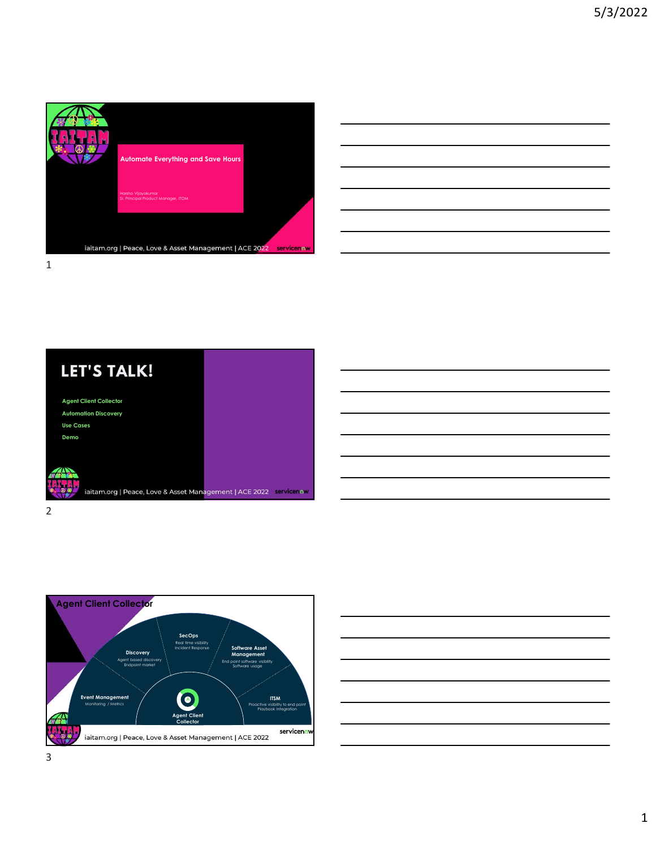

| <u> 1989 - Johann Barn, mars ann an t-Amhain Aonaichte ann an t-Aonaichte ann an t-Aonaichte ann an t-Aonaichte a</u> |  |      |
|-----------------------------------------------------------------------------------------------------------------------|--|------|
|                                                                                                                       |  | ____ |
| <u> 1989 - Johann Stein, mars an de Brasilia (b. 1989)</u>                                                            |  |      |
| ,我们也不会有什么?""我们的人,我们也不会有什么?""我们的人,我们也不会有什么?""我们的人,我们也不会有什么?""我们的人,我们也不会有什么?""我们的人                                      |  |      |







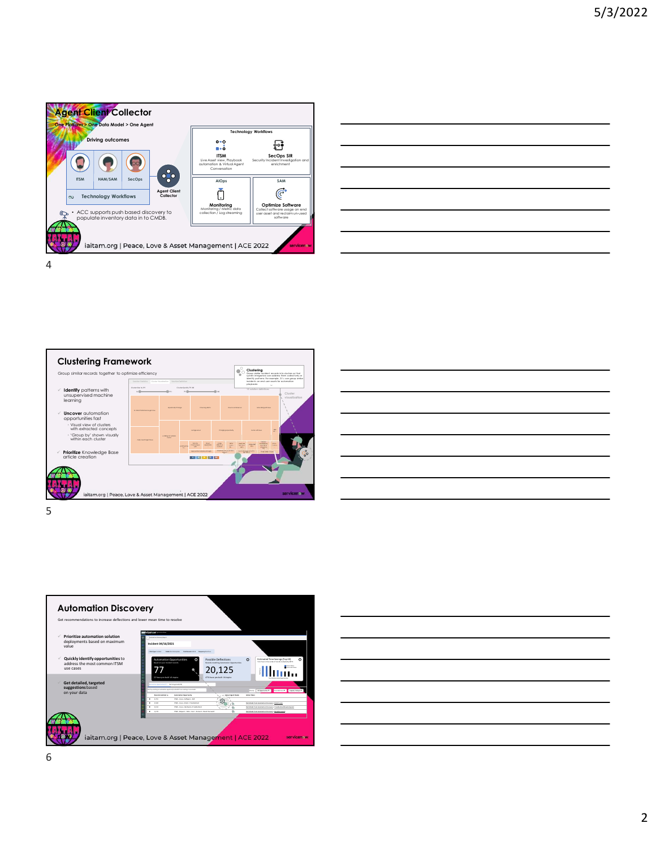









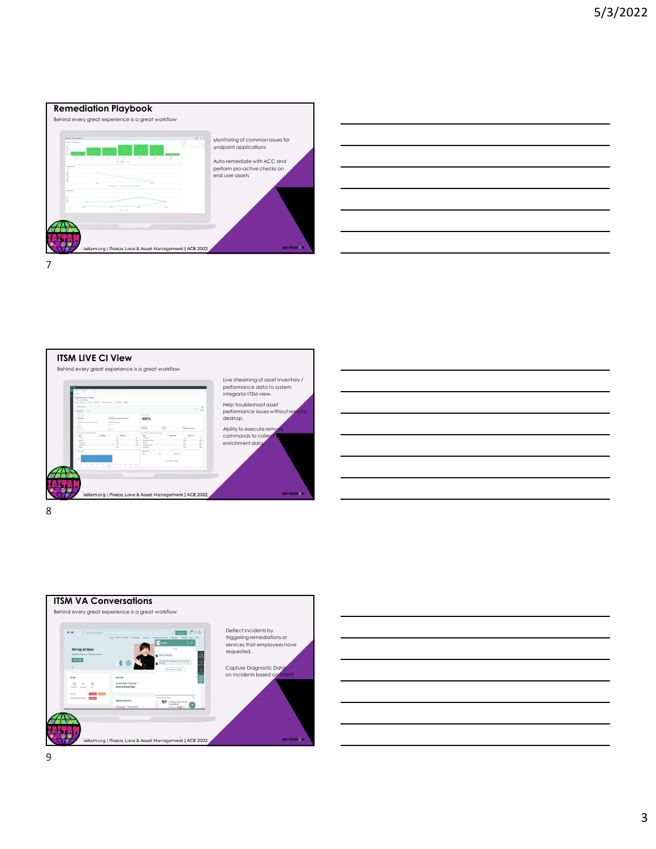









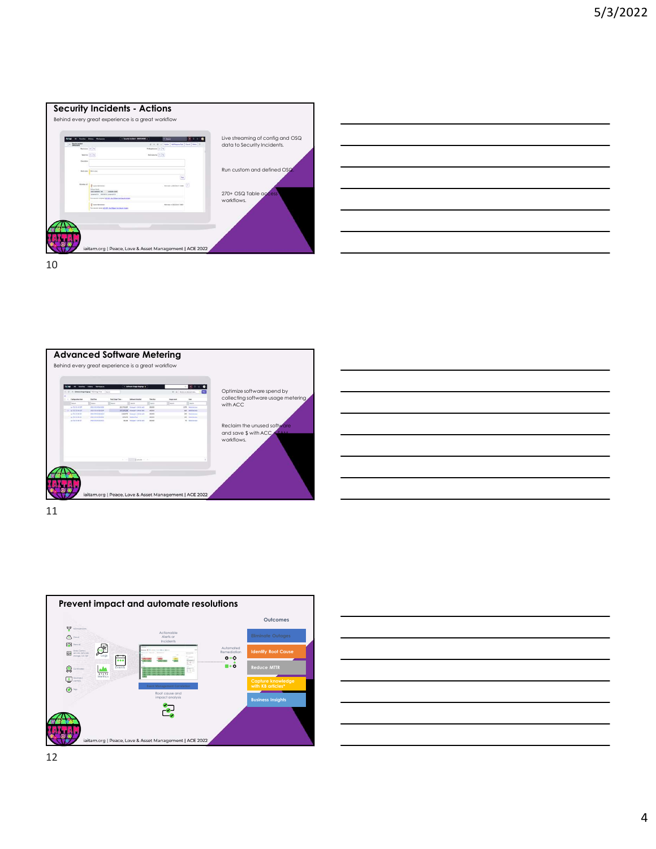











12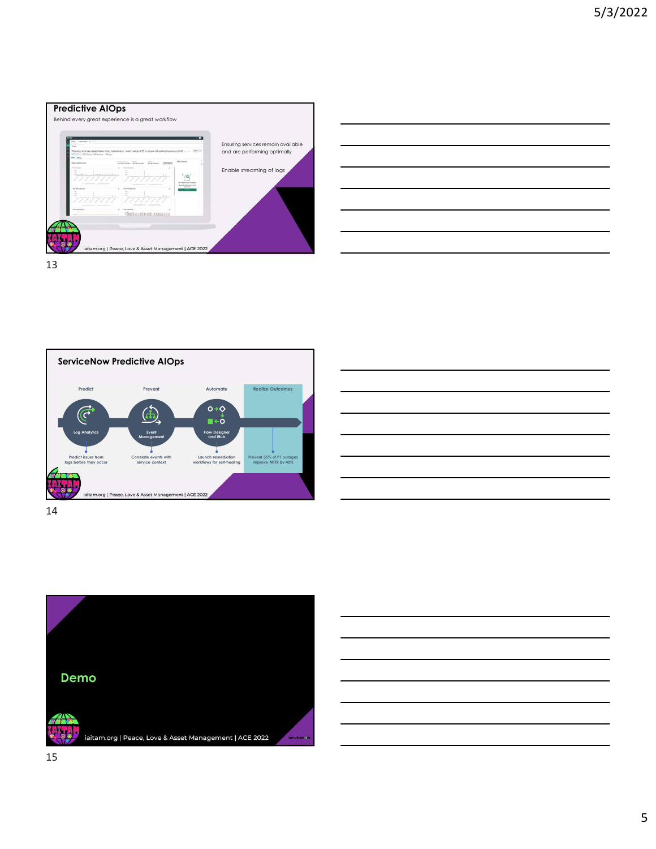





| יכוויכ הוטף                              |                                                  |                                                  |  |
|------------------------------------------|--------------------------------------------------|--------------------------------------------------|--|
| Prevent                                  | Automate                                         | <b>Realize Outcomes</b>                          |  |
|                                          | $O \rightarrow O$                                |                                                  |  |
| $\mathbf{d}$<br>Event                    | $\blacksquare$<br><b>Flow Designer</b>           |                                                  |  |
| Management                               | and iHub                                         |                                                  |  |
| Correlate events with<br>service context | Launch remediation<br>workflows for self-healing | Prevent 35% of P1 outages<br>Improve MTTR by 40% |  |
| e & Asset Management   ACE 2022          |                                                  |                                                  |  |
|                                          |                                                  |                                                  |  |